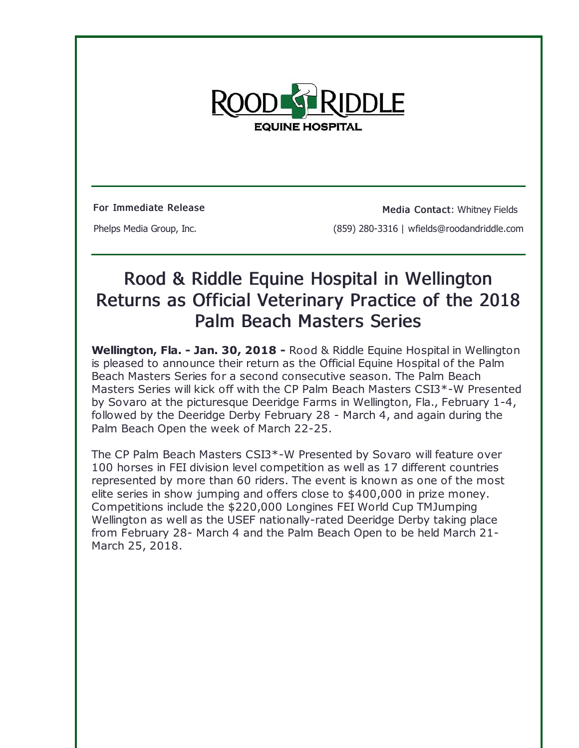

For Immediate Release Media Contact: Whitney Fields Phelps Media Group, Inc. (859) 280-3316 | wfields@roodandriddle.com

## Rood & Riddle Equine Hospital in Wellington Returns as Official Veterinary Practice of the 2018 Palm Beach Masters Series

**Wellington, Fla. - Jan. 30, 2018 -** Rood & Riddle Equine Hospital in Wellington is pleased to announce their return as the Official Equine Hospital of the Palm Beach Masters Series for a second consecutive season. The Palm Beach Masters Series will kick off with the CP Palm Beach Masters CSI3\*-W Presented by Sovaro at the picturesque Deeridge Farms in Wellington, Fla., February 1-4, followed by the Deeridge Derby February 28 - March 4, and again during the Palm Beach Open the week of March 22-25.

The CP Palm Beach Masters CSI3\*-W Presented by Sovaro will feature over 100 horses in FEI division level competition as well as 17 different countries represented by more than 60 riders. The event is known as one of the most elite series in show jumping and offers close to \$400,000 in prize money. Competitions include the \$220,000 Longines FEI World Cup TMJumping Wellington as well as the USEF nationally-rated Deeridge Derby taking place from February 28- March 4 and the Palm Beach Open to be held March 21- March 25, 2018.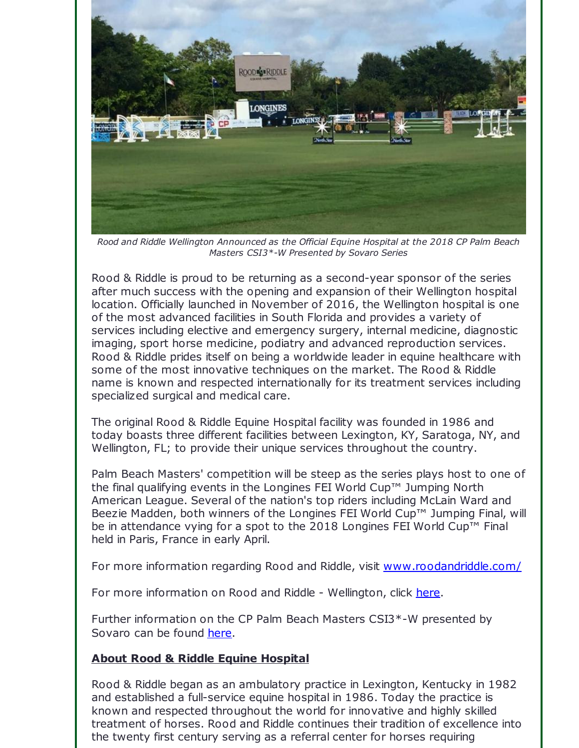

*Rood and Riddle Wellington Announced as the Official Equine Hospital at the 2018 CP Palm Beach Masters CSI3\*-W Presented by Sovaro Series*

Rood & Riddle is proud to be returning as a second-year sponsor of the series after much success with the opening and expansion of their Wellington hospital location. Officially launched in November of 2016, the Wellington hospital is one of the most advanced facilities in South Florida and provides a variety of services including elective and emergency surgery, internal medicine, diagnostic imaging, sport horse medicine, podiatry and advanced reproduction services. Rood & Riddle prides itself on being a worldwide leader in equine healthcare with some of the most innovative techniques on the market. The Rood & Riddle name is known and respected internationally for its treatment services including specialized surgical and medical care.

The original Rood & Riddle Equine Hospital facility was founded in 1986 and today boasts three different facilities between Lexington, KY, Saratoga, NY, and Wellington, FL; to provide their unique services throughout the country.

Palm Beach Masters' competition will be steep as the series plays host to one of the final qualifying events in the Longines FEI World Cup™ Jumping North American League. Several of the nation's top riders including McLain Ward and Beezie Madden, both winners of the Longines FEI World Cup™ Jumping Final, will be in attendance vying for a spot to the 2018 Longines FEI World Cup™ Final held in Paris, France in early April.

For more information regarding Rood and Riddle, visit [www.roodandriddle.com/](http://r20.rs6.net/tn.jsp?f=001UTovo0ejRGlC7bcWjHlCU30m-A6UXlZ4SPU1GbNfoEcfaqH1T2mQdu8CUZrItVYAfHBEiVEjZz323J19eAg2aNSFDANwu2b_ihYFgc_UHiLRbn-mv9jxtbgpRyG2wbg1UsvLy3do9GSi904kPl8S9sGD4kGlpF5KcQ-ymzczoapYSICSwsRVgg==&c=&ch=)

For more information on Rood and Riddle - Wellington, click [here](http://r20.rs6.net/tn.jsp?f=001UTovo0ejRGlC7bcWjHlCU30m-A6UXlZ4SPU1GbNfoEcfaqH1T2mQdt0f8Rs_0IDf3xYoOU6mIWje9LoyMg0tUvRAGSNUB5tCiph3Vvw0O967kDm5VHonJc1-xlZnCFFxiXqTR92F0MjLwEhSn_-3M052JvRy1rIO6rdypfmDJlyP0b9KukIQeRy80XIlhENkSY1MzdL2Y9M2t7IZwzDerA==&c=&ch=).

Further information on the CP Palm Beach Masters CSI3\*-W presented by Sovaro can be found [here](http://r20.rs6.net/tn.jsp?f=001UTovo0ejRGlC7bcWjHlCU30m-A6UXlZ4SPU1GbNfoEcfaqH1T2mQdk1Zhcf-rM4VndPkQ_FbYfVJoalGmA3_CNp2gfUbQNzXBh3XvMFpCSuUwOiRi9TF9cFwy4WpNruvOK0fAcTUEr8ZSd3Dllg94fNRJElcJo7q1N-OI_9e2NXT-4azuvnwIA==&c=&ch=).

## **About Rood & Riddle Equine Hospital**

Rood & Riddle began as an ambulatory practice in Lexington, Kentucky in 1982 and established a full-service equine hospital in 1986. Today the practice is known and respected throughout the world for innovative and highly skilled treatment of horses. Rood and Riddle continues their tradition of excellence into the twenty first century serving as a referral center for horses requiring